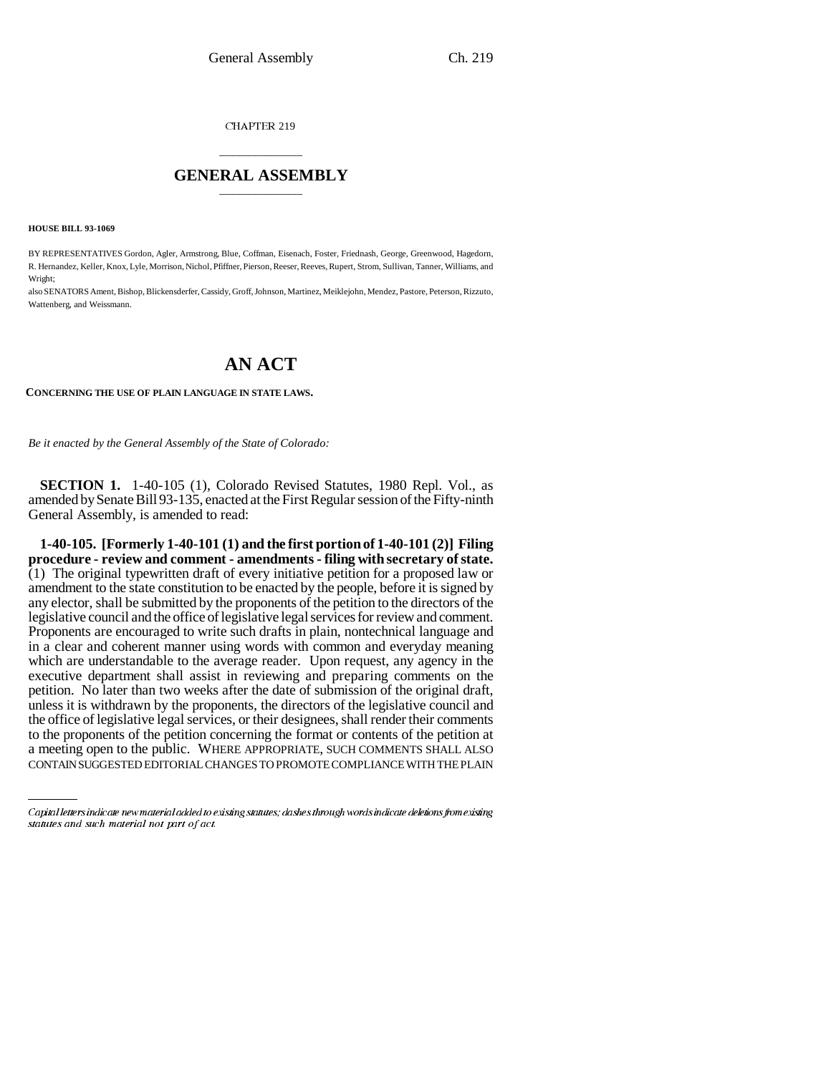CHAPTER 219

### \_\_\_\_\_\_\_\_\_\_\_\_\_\_\_ **GENERAL ASSEMBLY** \_\_\_\_\_\_\_\_\_\_\_\_\_\_\_

**HOUSE BILL 93-1069**

BY REPRESENTATIVES Gordon, Agler, Armstrong, Blue, Coffman, Eisenach, Foster, Friednash, George, Greenwood, Hagedorn, R. Hernandez, Keller, Knox, Lyle, Morrison, Nichol, Pfiffner, Pierson, Reeser, Reeves, Rupert, Strom, Sullivan, Tanner, Williams, and Wright;

also SENATORS Ament, Bishop, Blickensderfer, Cassidy, Groff, Johnson, Martinez, Meiklejohn, Mendez, Pastore, Peterson, Rizzuto, Wattenberg, and Weissmann.

# **AN ACT**

**CONCERNING THE USE OF PLAIN LANGUAGE IN STATE LAWS.**

*Be it enacted by the General Assembly of the State of Colorado:*

**SECTION 1.** 1-40-105 (1), Colorado Revised Statutes, 1980 Repl. Vol., as amended by Senate Bill 93-135, enacted at the First Regular session of the Fifty-ninth General Assembly, is amended to read:

a meeting open to the public. Where APPROPRIATE, SUCH COMMENTS SHALL ALSO<br>CONTAIN SUGGESTED EDITORIAL CHANGES TO PROMOTE COMPLIANCE WITH THE PLAIN **1-40-105. [Formerly 1-40-101 (1) and the first portion of 1-40-101 (2)] Filing procedure - review and comment - amendments - filing with secretary of state.**  $(1)$  The original typewritten draft of every initiative petition for a proposed law or amendment to the state constitution to be enacted by the people, before it is signed by any elector, shall be submitted by the proponents of the petition to the directors of the legislative council and the office of legislative legal services for review and comment. Proponents are encouraged to write such drafts in plain, nontechnical language and in a clear and coherent manner using words with common and everyday meaning which are understandable to the average reader. Upon request, any agency in the executive department shall assist in reviewing and preparing comments on the petition. No later than two weeks after the date of submission of the original draft, unless it is withdrawn by the proponents, the directors of the legislative council and the office of legislative legal services, or their designees, shall render their comments to the proponents of the petition concerning the format or contents of the petition at a meeting open to the public. WHERE APPROPRIATE, SUCH COMMENTS SHALL ALSO

Capital letters indicate new material added to existing statutes; dashes through words indicate deletions from existing statutes and such material not part of act.